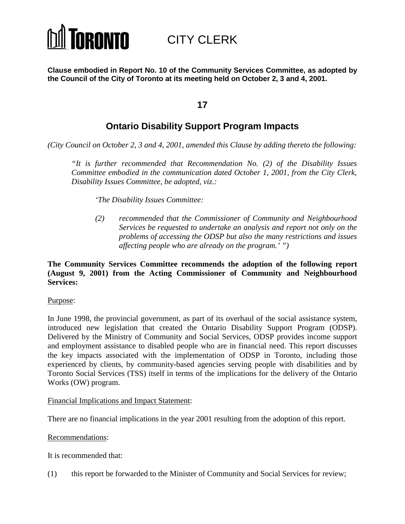# **TORONTO**

CITY CLERK

**Clause embodied in Report No. 10 of the Community Services Committee, as adopted by the Council of the City of Toronto at its meeting held on October 2, 3 and 4, 2001.**

# **17**

# **Ontario Disability Support Program Impacts**

*(City Council on October 2, 3 and 4, 2001, amended this Clause by adding thereto the following:*

*"It is further recommended that Recommendation No. (2) of the Disability Issues Committee embodied in the communication dated October 1, 2001, from the City Clerk, Disability Issues Committee, be adopted, viz.:*

*'The Disability Issues Committee:*

*(2) recommended that the Commissioner of Community and Neighbourhood Services be requested to undertake an analysis and report not only on the problems of accessing the ODSP but also the many restrictions and issues affecting people who are already on the program.' ")*

#### **The Community Services Committee recommends the adoption of the following report (August 9, 2001) from the Acting Commissioner of Community and Neighbourhood Services:**

#### Purpose:

In June 1998, the provincial government, as part of its overhaul of the social assistance system, introduced new legislation that created the Ontario Disability Support Program (ODSP). Delivered by the Ministry of Community and Social Services, ODSP provides income support and employment assistance to disabled people who are in financial need. This report discusses the key impacts associated with the implementation of ODSP in Toronto, including those experienced by clients, by community-based agencies serving people with disabilities and by Toronto Social Services (TSS) itself in terms of the implications for the delivery of the Ontario Works (OW) program.

#### Financial Implications and Impact Statement:

There are no financial implications in the year 2001 resulting from the adoption of this report.

#### Recommendations:

It is recommended that:

(1) this report be forwarded to the Minister of Community and Social Services for review;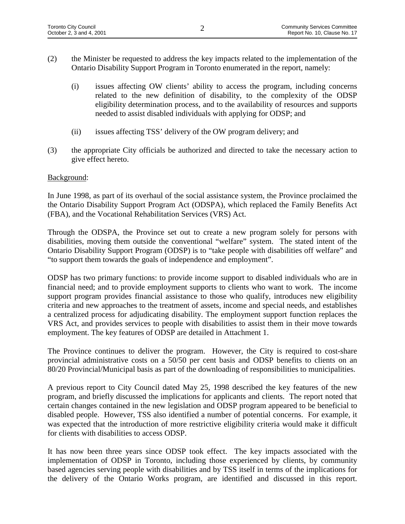- (2) the Minister be requested to address the key impacts related to the implementation of the Ontario Disability Support Program in Toronto enumerated in the report, namely:
	- (i) issues affecting OW clients' ability to access the program, including concerns related to the new definition of disability, to the complexity of the ODSP eligibility determination process, and to the availability of resources and supports needed to assist disabled individuals with applying for ODSP; and
	- (ii) issues affecting TSS' delivery of the OW program delivery; and
- (3) the appropriate City officials be authorized and directed to take the necessary action to give effect hereto.

### Background:

In June 1998, as part of its overhaul of the social assistance system, the Province proclaimed the the Ontario Disability Support Program Act (ODSPA), which replaced the Family Benefits Act (FBA), and the Vocational Rehabilitation Services (VRS) Act.

Through the ODSPA, the Province set out to create a new program solely for persons with disabilities, moving them outside the conventional "welfare" system. The stated intent of the Ontario Disability Support Program (ODSP) is to "take people with disabilities off welfare" and "to support them towards the goals of independence and employment".

ODSP has two primary functions: to provide income support to disabled individuals who are in financial need; and to provide employment supports to clients who want to work. The income support program provides financial assistance to those who qualify, introduces new eligibility criteria and new approaches to the treatment of assets, income and special needs, and establishes a centralized process for adjudicating disability. The employment support function replaces the VRS Act, and provides services to people with disabilities to assist them in their move towards employment. The key features of ODSP are detailed in Attachment 1.

The Province continues to deliver the program. However, the City is required to cost-share provincial administrative costs on a 50/50 per cent basis and ODSP benefits to clients on an 80/20 Provincial/Municipal basis as part of the downloading of responsibilities to municipalities.

A previous report to City Council dated May 25, 1998 described the key features of the new program, and briefly discussed the implications for applicants and clients. The report noted that certain changes contained in the new legislation and ODSP program appeared to be beneficial to disabled people. However, TSS also identified a number of potential concerns. For example, it was expected that the introduction of more restrictive eligibility criteria would make it difficult for clients with disabilities to access ODSP.

It has now been three years since ODSP took effect. The key impacts associated with the implementation of ODSP in Toronto, including those experienced by clients, by community based agencies serving people with disabilities and by TSS itself in terms of the implications for the delivery of the Ontario Works program, are identified and discussed in this report.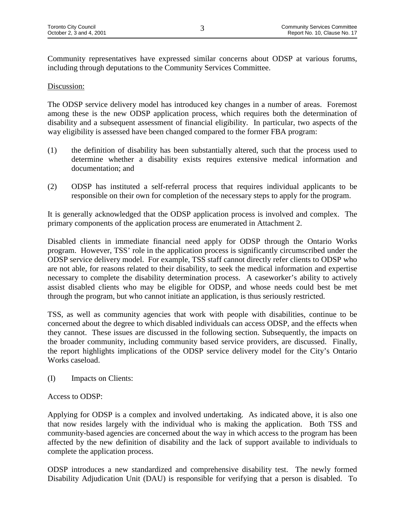Community representatives have expressed similar concerns about ODSP at various forums, including through deputations to the Community Services Committee.

#### Discussion:

The ODSP service delivery model has introduced key changes in a number of areas. Foremost among these is the new ODSP application process, which requires both the determination of disability and a subsequent assessment of financial eligibility. In particular, two aspects of the way eligibility is assessed have been changed compared to the former FBA program:

- (1) the definition of disability has been substantially altered, such that the process used to determine whether a disability exists requires extensive medical information and documentation; and
- (2) ODSP has instituted a self-referral process that requires individual applicants to be responsible on their own for completion of the necessary steps to apply for the program.

It is generally acknowledged that the ODSP application process is involved and complex. The primary components of the application process are enumerated in Attachment 2.

Disabled clients in immediate financial need apply for ODSP through the Ontario Works program. However, TSS' role in the application process is significantly circumscribed under the ODSP service delivery model. For example, TSS staff cannot directly refer clients to ODSP who are not able, for reasons related to their disability, to seek the medical information and expertise necessary to complete the disability determination process. A caseworker's ability to actively assist disabled clients who may be eligible for ODSP, and whose needs could best be met through the program, but who cannot initiate an application, is thus seriously restricted.

TSS, as well as community agencies that work with people with disabilities, continue to be concerned about the degree to which disabled individuals can access ODSP, and the effects when they cannot. These issues are discussed in the following section. Subsequently, the impacts on the broader community, including community based service providers, are discussed. Finally, the report highlights implications of the ODSP service delivery model for the City's Ontario Works caseload.

(I) Impacts on Clients:

#### Access to ODSP:

Applying for ODSP is a complex and involved undertaking. As indicated above, it is also one that now resides largely with the individual who is making the application. Both TSS and community-based agencies are concerned about the way in which access to the program has been affected by the new definition of disability and the lack of support available to individuals to complete the application process.

ODSP introduces a new standardized and comprehensive disability test. The newly formed Disability Adjudication Unit (DAU) is responsible for verifying that a person is disabled. To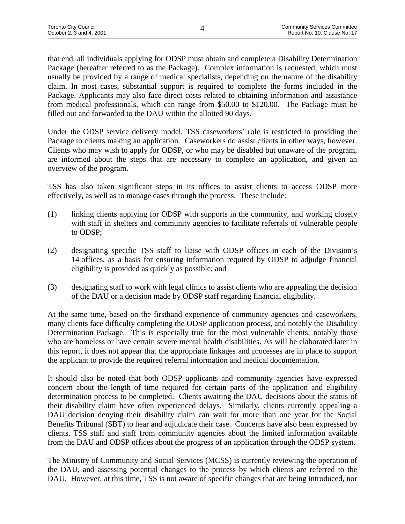that end, all individuals applying for ODSP must obtain and complete a Disability Determination Package (hereafter referred to as the Package). Complex information is requested, which must usually be provided by a range of medical specialists, depending on the nature of the disability claim. In most cases, substantial support is required to complete the forms included in the Package. Applicants may also face direct costs related to obtaining information and assistance from medical professionals, which can range from \$50.00 to \$120.00. The Package must be filled out and forwarded to the DAU within the allotted 90 days.

Under the ODSP service delivery model, TSS caseworkers' role is restricted to providing the Package to clients making an application. Caseworkers do assist clients in other ways, however. Clients who may wish to apply for ODSP, or who may be disabled but unaware of the program, are informed about the steps that are necessary to complete an application, and given an overview of the program.

TSS has also taken significant steps in its offices to assist clients to access ODSP more effectively, as well as to manage cases through the process. These include:

- (1) linking clients applying for ODSP with supports in the community, and working closely with staff in shelters and community agencies to facilitate referrals of vulnerable people to ODSP;
- (2) designating specific TSS staff to liaise with ODSP offices in each of the Division's 14 offices, as a basis for ensuring information required by ODSP to adjudge financial eligibility is provided as quickly as possible; and
- (3) designating staff to work with legal clinics to assist clients who are appealing the decision of the DAU or a decision made by ODSP staff regarding financial eligibility.

At the same time, based on the firsthand experience of community agencies and caseworkers, many clients face difficulty completing the ODSP application process, and notably the Disability Determination Package. This is especially true for the most vulnerable clients; notably those who are homeless or have certain severe mental health disabilities. As will be elaborated later in this report, it does not appear that the appropriate linkages and processes are in place to support the applicant to provide the required referral information and medical documentation.

It should also be noted that both ODSP applicants and community agencies have expressed concern about the length of time required for certain parts of the application and eligibility determination process to be completed. Clients awaiting the DAU decisions about the status of their disability claim have often experienced delays. Similarly, clients currently appealing a DAU decision denying their disability claim can wait for more than one year for the Social Benefits Tribunal (SBT) to hear and adjudicate their case. Concerns have also been expressed by clients, TSS staff and staff from community agencies about the limited information available from the DAU and ODSP offices about the progress of an application through the ODSP system.

The Ministry of Community and Social Services (MCSS) is currently reviewing the operation of the DAU, and assessing potential changes to the process by which clients are referred to the DAU. However, at this time, TSS is not aware of specific changes that are being introduced, nor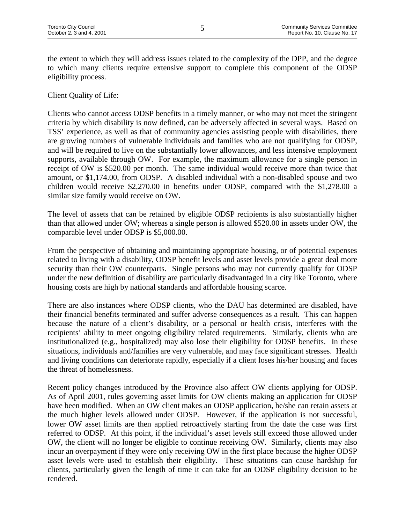the extent to which they will address issues related to the complexity of the DPP, and the degree to which many clients require extensive support to complete this component of the ODSP eligibility process.

Client Quality of Life:

Clients who cannot access ODSP benefits in a timely manner, or who may not meet the stringent criteria by which disability is now defined, can be adversely affected in several ways. Based on TSS' experience, as well as that of community agencies assisting people with disabilities, there are growing numbers of vulnerable individuals and families who are not qualifying for ODSP, and will be required to live on the substantially lower allowances, and less intensive employment supports, available through OW. For example, the maximum allowance for a single person in receipt of OW is \$520.00 per month. The same individual would receive more than twice that amount, or \$1,174.00, from ODSP. A disabled individual with a non-disabled spouse and two children would receive \$2,270.00 in benefits under ODSP, compared with the \$1,278.00 a similar size family would receive on OW.

The level of assets that can be retained by eligible ODSP recipients is also substantially higher than that allowed under OW; whereas a single person is allowed \$520.00 in assets under OW, the comparable level under ODSP is \$5,000.00.

From the perspective of obtaining and maintaining appropriate housing, or of potential expenses related to living with a disability, ODSP benefit levels and asset levels provide a great deal more security than their OW counterparts. Single persons who may not currently qualify for ODSP under the new definition of disability are particularly disadvantaged in a city like Toronto, where housing costs are high by national standards and affordable housing scarce.

There are also instances where ODSP clients, who the DAU has determined are disabled, have their financial benefits terminated and suffer adverse consequences as a result. This can happen because the nature of a client's disability, or a personal or health crisis, interferes with the recipients' ability to meet ongoing eligibility related requirements. Similarly, clients who are institutionalized (e.g., hospitalized) may also lose their eligibility for ODSP benefits. In these situations, individuals and/families are very vulnerable, and may face significant stresses. Health and living conditions can deteriorate rapidly, especially if a client loses his/her housing and faces the threat of homelessness.

Recent policy changes introduced by the Province also affect OW clients applying for ODSP. As of April 2001, rules governing asset limits for OW clients making an application for ODSP have been modified. When an OW client makes an ODSP application, he/she can retain assets at the much higher levels allowed under ODSP. However, if the application is not successful, lower OW asset limits are then applied retroactively starting from the date the case was first referred to ODSP. At this point, if the individual's asset levels still exceed those allowed under OW, the client will no longer be eligible to continue receiving OW. Similarly, clients may also incur an overpayment if they were only receiving OW in the first place because the higher ODSP asset levels were used to establish their eligibility. These situations can cause hardship for clients, particularly given the length of time it can take for an ODSP eligibility decision to be rendered.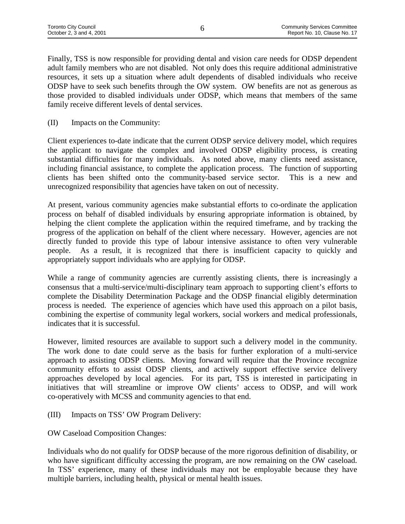Finally, TSS is now responsible for providing dental and vision care needs for ODSP dependent adult family members who are not disabled. Not only does this require additional administrative resources, it sets up a situation where adult dependents of disabled individuals who receive ODSP have to seek such benefits through the OW system. OW benefits are not as generous as those provided to disabled individuals under ODSP, which means that members of the same family receive different levels of dental services.

(II) Impacts on the Community:

Client experiences to-date indicate that the current ODSP service delivery model, which requires the applicant to navigate the complex and involved ODSP eligibility process, is creating substantial difficulties for many individuals. As noted above, many clients need assistance, including financial assistance, to complete the application process. The function of supporting clients has been shifted onto the community-based service sector. This is a new and unrecognized responsibility that agencies have taken on out of necessity.

At present, various community agencies make substantial efforts to co-ordinate the application process on behalf of disabled individuals by ensuring appropriate information is obtained, by helping the client complete the application within the required timeframe, and by tracking the progress of the application on behalf of the client where necessary. However, agencies are not directly funded to provide this type of labour intensive assistance to often very vulnerable people. As a result, it is recognized that there is insufficient capacity to quickly and appropriately support individuals who are applying for ODSP.

While a range of community agencies are currently assisting clients, there is increasingly a consensus that a multi-service/multi-disciplinary team approach to supporting client's efforts to complete the Disability Determination Package and the ODSP financial eligibly determination process is needed. The experience of agencies which have used this approach on a pilot basis, combining the expertise of community legal workers, social workers and medical professionals, indicates that it is successful.

However, limited resources are available to support such a delivery model in the community. The work done to date could serve as the basis for further exploration of a multi-service approach to assisting ODSP clients. Moving forward will require that the Province recognize community efforts to assist ODSP clients, and actively support effective service delivery approaches developed by local agencies. For its part, TSS is interested in participating in initiatives that will streamline or improve OW clients' access to ODSP, and will work co-operatively with MCSS and community agencies to that end.

- (III) Impacts on TSS' OW Program Delivery:
- OW Caseload Composition Changes:

Individuals who do not qualify for ODSP because of the more rigorous definition of disability, or who have significant difficulty accessing the program, are now remaining on the OW caseload. In TSS' experience, many of these individuals may not be employable because they have multiple barriers, including health, physical or mental health issues.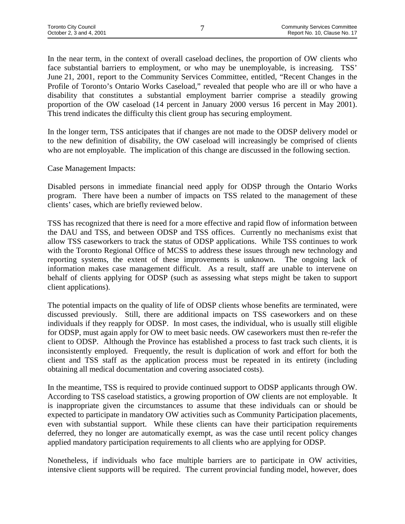In the near term, in the context of overall caseload declines, the proportion of OW clients who face substantial barriers to employment, or who may be unemployable, is increasing. TSS' June 21, 2001, report to the Community Services Committee, entitled, "Recent Changes in the Profile of Toronto's Ontario Works Caseload," revealed that people who are ill or who have a disability that constitutes a substantial employment barrier comprise a steadily growing proportion of the OW caseload (14 percent in January 2000 versus 16 percent in May 2001). This trend indicates the difficulty this client group has securing employment.

In the longer term, TSS anticipates that if changes are not made to the ODSP delivery model or to the new definition of disability, the OW caseload will increasingly be comprised of clients who are not employable. The implication of this change are discussed in the following section.

#### Case Management Impacts:

Disabled persons in immediate financial need apply for ODSP through the Ontario Works program. There have been a number of impacts on TSS related to the management of these clients' cases, which are briefly reviewed below.

TSS has recognized that there is need for a more effective and rapid flow of information between the DAU and TSS, and between ODSP and TSS offices. Currently no mechanisms exist that allow TSS caseworkers to track the status of ODSP applications. While TSS continues to work with the Toronto Regional Office of MCSS to address these issues through new technology and reporting systems, the extent of these improvements is unknown. The ongoing lack of information makes case management difficult. As a result, staff are unable to intervene on behalf of clients applying for ODSP (such as assessing what steps might be taken to support client applications).

The potential impacts on the quality of life of ODSP clients whose benefits are terminated, were discussed previously. Still, there are additional impacts on TSS caseworkers and on these individuals if they reapply for ODSP. In most cases, the individual, who is usually still eligible for ODSP, must again apply for OW to meet basic needs. OW caseworkers must then re-refer the client to ODSP. Although the Province has established a process to fast track such clients, it is inconsistently employed. Frequently, the result is duplication of work and effort for both the client and TSS staff as the application process must be repeated in its entirety (including obtaining all medical documentation and covering associated costs).

In the meantime, TSS is required to provide continued support to ODSP applicants through OW. According to TSS caseload statistics, a growing proportion of OW clients are not employable. It is inappropriate given the circumstances to assume that these individuals can or should be expected to participate in mandatory OW activities such as Community Participation placements, even with substantial support. While these clients can have their participation requirements deferred, they no longer are automatically exempt, as was the case until recent policy changes applied mandatory participation requirements to all clients who are applying for ODSP.

Nonetheless, if individuals who face multiple barriers are to participate in OW activities, intensive client supports will be required. The current provincial funding model, however, does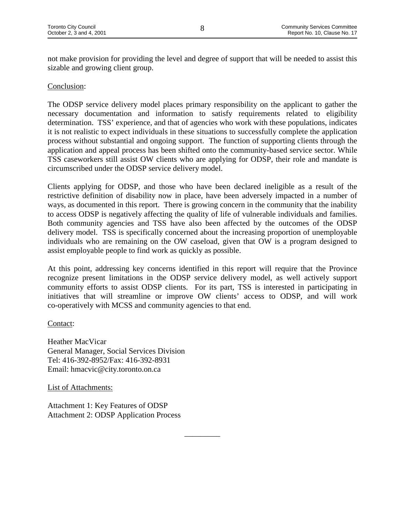not make provision for providing the level and degree of support that will be needed to assist this sizable and growing client group.

#### Conclusion:

The ODSP service delivery model places primary responsibility on the applicant to gather the necessary documentation and information to satisfy requirements related to eligibility determination. TSS' experience, and that of agencies who work with these populations, indicates it is not realistic to expect individuals in these situations to successfully complete the application process without substantial and ongoing support. The function of supporting clients through the application and appeal process has been shifted onto the community-based service sector. While TSS caseworkers still assist OW clients who are applying for ODSP, their role and mandate is circumscribed under the ODSP service delivery model.

Clients applying for ODSP, and those who have been declared ineligible as a result of the restrictive definition of disability now in place, have been adversely impacted in a number of ways, as documented in this report. There is growing concern in the community that the inability to access ODSP is negatively affecting the quality of life of vulnerable individuals and families. Both community agencies and TSS have also been affected by the outcomes of the ODSP delivery model. TSS is specifically concerned about the increasing proportion of unemployable individuals who are remaining on the OW caseload, given that OW is a program designed to assist employable people to find work as quickly as possible.

At this point, addressing key concerns identified in this report will require that the Province recognize present limitations in the ODSP service delivery model, as well actively support community efforts to assist ODSP clients. For its part, TSS is interested in participating in initiatives that will streamline or improve OW clients' access to ODSP, and will work co-operatively with MCSS and community agencies to that end.

\_\_\_\_\_\_\_\_\_

Contact:

Heather MacVicar General Manager, Social Services Division Tel: 416-392-8952/Fax: 416-392-8931 Email: hmacvic@city.toronto.on.ca

List of Attachments:

Attachment 1: Key Features of ODSP Attachment 2: ODSP Application Process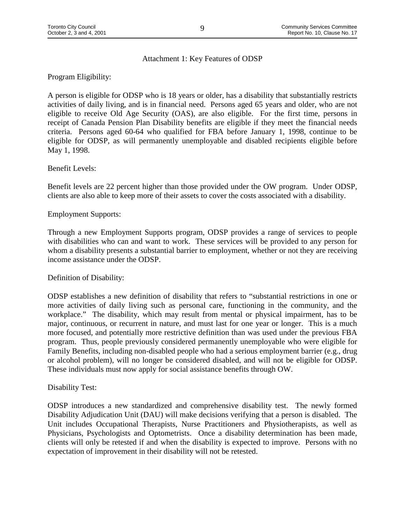#### Attachment 1: Key Features of ODSP

Program Eligibility:

A person is eligible for ODSP who is 18 years or older, has a disability that substantially restricts activities of daily living, and is in financial need. Persons aged 65 years and older, who are not eligible to receive Old Age Security (OAS), are also eligible. For the first time, persons in receipt of Canada Pension Plan Disability benefits are eligible if they meet the financial needs criteria. Persons aged 60-64 who qualified for FBA before January 1, 1998, continue to be eligible for ODSP, as will permanently unemployable and disabled recipients eligible before May 1, 1998.

Benefit Levels:

Benefit levels are 22 percent higher than those provided under the OW program. Under ODSP, clients are also able to keep more of their assets to cover the costs associated with a disability.

Employment Supports:

Through a new Employment Supports program, ODSP provides a range of services to people with disabilities who can and want to work. These services will be provided to any person for whom a disability presents a substantial barrier to employment, whether or not they are receiving income assistance under the ODSP.

Definition of Disability:

ODSP establishes a new definition of disability that refers to "substantial restrictions in one or more activities of daily living such as personal care, functioning in the community, and the workplace." The disability, which may result from mental or physical impairment, has to be major, continuous, or recurrent in nature, and must last for one year or longer. This is a much more focused, and potentially more restrictive definition than was used under the previous FBA program. Thus, people previously considered permanently unemployable who were eligible for Family Benefits, including non-disabled people who had a serious employment barrier (e.g., drug or alcohol problem), will no longer be considered disabled, and will not be eligible for ODSP. These individuals must now apply for social assistance benefits through OW.

Disability Test:

ODSP introduces a new standardized and comprehensive disability test. The newly formed Disability Adjudication Unit (DAU) will make decisions verifying that a person is disabled. The Unit includes Occupational Therapists, Nurse Practitioners and Physiotherapists, as well as Physicians, Psychologists and Optometrists. Once a disability determination has been made, clients will only be retested if and when the disability is expected to improve. Persons with no expectation of improvement in their disability will not be retested.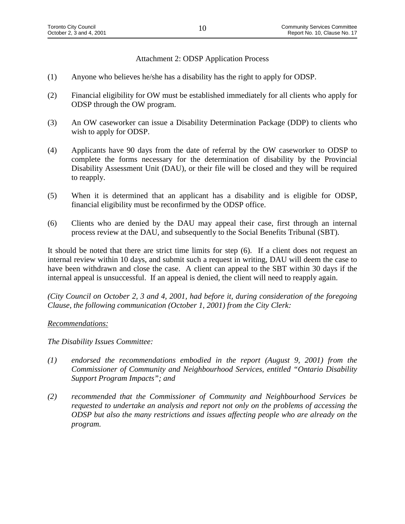Attachment 2: ODSP Application Process

- (1) Anyone who believes he/she has a disability has the right to apply for ODSP.
- (2) Financial eligibility for OW must be established immediately for all clients who apply for ODSP through the OW program.
- (3) An OW caseworker can issue a Disability Determination Package (DDP) to clients who wish to apply for ODSP.
- (4) Applicants have 90 days from the date of referral by the OW caseworker to ODSP to complete the forms necessary for the determination of disability by the Provincial Disability Assessment Unit (DAU), or their file will be closed and they will be required to reapply.
- (5) When it is determined that an applicant has a disability and is eligible for ODSP, financial eligibility must be reconfirmed by the ODSP office.
- (6) Clients who are denied by the DAU may appeal their case, first through an internal process review at the DAU, and subsequently to the Social Benefits Tribunal (SBT).

It should be noted that there are strict time limits for step (6). If a client does not request an internal review within 10 days, and submit such a request in writing, DAU will deem the case to have been withdrawn and close the case. A client can appeal to the SBT within 30 days if the internal appeal is unsuccessful. If an appeal is denied, the client will need to reapply again.

*(City Council on October 2, 3 and 4, 2001, had before it, during consideration of the foregoing Clause, the following communication (October 1, 2001) from the City Clerk:*

#### *Recommendations:*

*The Disability Issues Committee:*

- *(1) endorsed the recommendations embodied in the report (August 9, 2001) from the Commissioner of Community and Neighbourhood Services, entitled "Ontario Disability Support Program Impacts"; and*
- *(2) recommended that the Commissioner of Community and Neighbourhood Services be requested to undertake an analysis and report not only on the problems of accessing the ODSP but also the many restrictions and issues affecting people who are already on the program.*